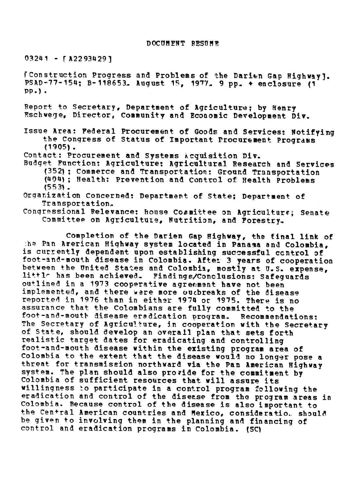03241 - rA22934291

fConstruction Progress and Problems of the Darien Gap Highway]. PSAD-77-154; B-118653. August 15, 1977. 9 pp. + enclosure (1 Pp.) .

Report to Secretary, Department of Agriculture; by enry ?schwege, Director, Community and Economic Development Div.

Issue Area: Federal Procurement of Goods and Services: Notifying the Congress of Status of Important Procurement Programs (1905).

Contact: Procurement and Systems Acquisition Div.

Budget Function: Agriculture: Agricultural Research and Services (352); commerce and Transportation: Ground Transportation (404); Health: Prevention and Control of Health Problems (553).

### Organization Concerned: Department of State; Department of Transportation.

Congressional Relevance: house Committee on Agriculture; Senate Committee on Agricultute, Nutrition, and Forestry.

Completion of the Darien Gap Highway, the final link of the Pan Arerican Highway system located in Panama and Colombia, is currently dependent upon establishing successful control of foot-and-mouth disease in Colombia. After 3 years of cooperation between the United States and Colombia, mostly at U.S. expense, little has been achieved. Findings/Conclusions: Safeguards outlined in a 1973 cooperative agreement have not been implemented, and there were more outbreaks of the disease reported in 1976 than in either 1974 or 1975. There is no assurance that the Colombians are fully committed to the foot-and-mouth disease eradication program. Recommendations: The Secretary of Agriculture, in cooperation with the Secretary of State, should develop an overall plan that sets forth realistic target dates for eradicating and controlling foot-and-mouth disease within the existing program area of Colombia to the extent that the disease would no longer pose a threat for transmission northward via the Pan American Highway system. The plan should also provide for the commitment by Colombia of sufficient resources that will assure its willingness to participate in a control program following the eradication and control of the disease from the program areas in Colombia. Because control of the disease is also important to the Central American countries and Mexico, consideration should be given to involving them in the planning and financing of control and eradication programs in Colombia. (SC)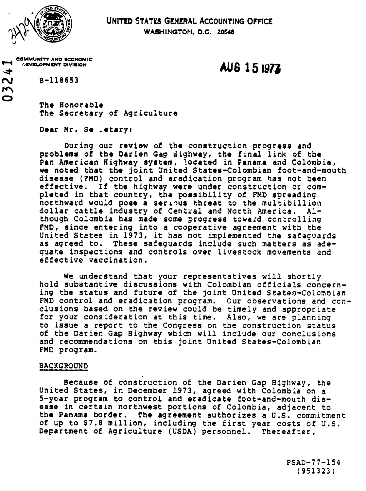

 $\blacktriangleright$ 

 $\overline{\mathbf{C}}$ 

# UNITED STATES GENERAL ACCOUNTING OFFICE **WASHINGTOM, D.C. 20S8**

COMMUNITY AND ECONOMIC **,EVOMVwt** DIVISION **AU** 6 1 5 **1**

**r\J** B-118653

**The** Honorable The Secretary of Agriculture

Dear Mr. Se .etary:

During our review of the construction progress and problems of the Darien Gap ighway, the final link of the Pan American Highway system, located in Panama and Colombia, we noted that the joint United States-Colombian foot-and-mouth disease (FMD) control and eradication program has not been effective. If the highway were under construction or completed in that country, the possibility of FMD spreading northward would pose a serious threat to the multibillion dollar cattle industry of Central and North America. Although Colombia has made some progress toward controlling FMD, since entering into a cooperative agreement with the United States in 1973, it has not implemented the safeguards as agreed to. These safeguards include such matters as adequate inspections and controls over livestock movements and effective vaccination.

We understand that your representatives will shortly hold substantive discussions with Colombian officials concerning the status and future of the joint United States-Colombian FMD control and eradication program. Our observations and ccnciusions based on the review could be timely and appropriate for your consideration at this time. Also, we are planning to issue a report to the Congress on the construction status of the Darien Gap Highway which will include our conclusions and recommendations on this joint United States-Colombian FMD program.

### BACKGROUND

Because of construction of the Darien Gap Highway, the United States, in December 1973, agreed with Colombia on a 5-year program to control and eradicate foot-and-mouth disease in certain northwest portions of Colombia, adjacent to the Panama border. The agreement authorizes a U.S. commitment of up to \$7.8 million, including the first year costs of U.S. Department of Agriculture (USDA) personnel. Thereafter,

> PSAD-77-154 (951323)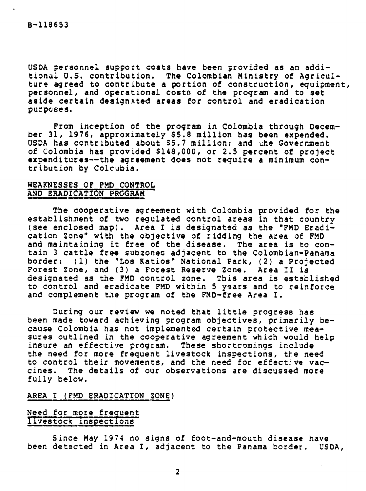USDA personnel support costs have been provided as an additional U.S. contribution. The Colombian Ministry of Agriculture agreed to contribute a portion of construction, equipment, personnel, and operational costs of the program and to set aside certain designated areas for control and eradication purposes.

From inception of the program in Colombia through December 31, 1976, approximately \$5.8 million has been expended. USDA has contributed about \$5.7 million; and the Government of Colombia has provided \$148,000, or 2.5 percent of project expenditures--the agreement does not require a minimum contribution by Colcabia.

### WEAKNESSES OF FMD CONTROL AND ERADTCATON PEGRAM

The cooperative agreement with Colombia provided for the establishment of two regulated control areas in that country (see enclosed map). Area I is designated as the "FMD Eradication Zone" with the objective of ridding the area of FMD and maintaining it free of the disease. The area is to contain 3 cattle free subzones adjacent to the Colombian-Panama border: (1) the "Los Katios" National Park, (2) a Projected Forest Zone, and (3) a Forest Reserve Zone. Area II is designated as the FMD control zone. This area is established to control and eradicate FMD within 5 years and to reinforce and complement the program of the FMD-free Area I.

During our review we noted that little progress has been made toward achieving program objectives, primarily because Colombia has not implemented certain protective measures outlined in the cooperative agreement which would help insure an effective program. These shortcomings include the need for more frequent livestock inspections, the need to control their movements, and the need for effective vaccines. The details of our observations are discussed more fully below.

### AREA I (FMD ERADICATION ZONE)

## Need for more frequent livestock inspections

Since May 1974 no signs of foot-and-mouth disease have been detected in Area I, adjacent to the Panama border. USDA,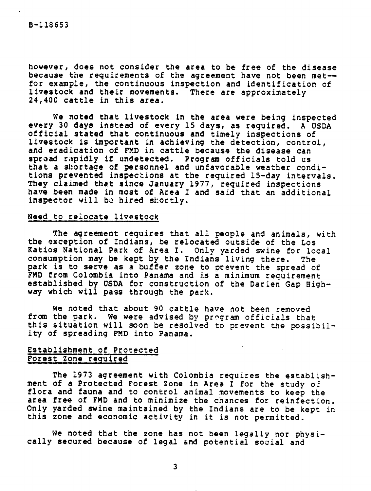however, does not consider the area to be free of the disease because the requirements of the agreement have not been met- for example, the continuous inspection and identification of livestock and their movements. There are approximately 24,400 cattle in this area.

We noted that livestock in the area were being inspected every 30 days instead of every 15 days, as required. A USDA official stated that continuous and timely inspections of livestock is important in achieving the detection, control, and eradication of FMD in cattle because the disease can spread rapidly if undetected. Program officials told us that a shortage of personnel and unfavorable weather conditions prevented inspections at the required 15-day intervals. They claimed that since January 1977, required inspections have been made in most of Area I and said that an additional inspector will be hired shortly.

# Need to relocate livestock

The agreement requires that all people and animals, with the exception of Indians, be relocated outside of the Los Katios National Park of Area I. Only yarded swine for local consumption may be kept by the Indians living there. The park is to serve as a buffer zone to prevent the spread of FMD from Colombia into Panama and is a minimum requirement established by USDA for construction of the Darien Gap Highway which will pass through the park.

We noted that about 90 cattle have not been removed from the park. We were advised by program officials that this situation will soon be resolved to prevent the possibility of spreading FMD into Panama.

# Establishment of Protected Forest Zone required

The 1973 agreement with Colombia requires the establishment of a Protected Forest Zone in Area I for the study of flora and fauna and to control animal movements to keep the area free of FMD and to minimize the chances for reinfection. Only yarded swine maintained by the Indians are to be kept in this zone and economic activity in it is not permitted.

we noted that the zone has not been legally nor physically secured because of legal and potential social and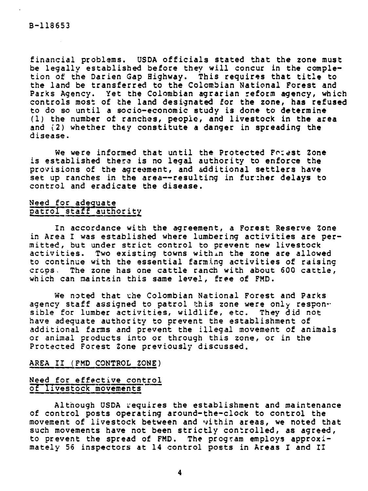financial problems. USDA officials stated that the zone must be legally established before they will concur in the completion of the Darien Gap Highway. This requires that title to the land be transferred to the Colombian National Forest and Parks Agency. Yet the Colombian agrarian reform agency, which controls most of the land designated for the zone, has refused to do so until a socio-economic study is done to determine (1) the number of ranches, people, and livestock in the area and (2) whether they constitute a danger in spreading the disease.

We were informed that until the Protected Fotest Zone is established there is no legal authority to enforce the provisions of the agreement, and additional settlers have set up ranches in the area--resulting in further delays to control and eradicate the disease.

# Need for adequate patrol staff authority

In accordance with the agreement, a Forest Reserve Zone in Area I was established where lumbering activities are permitted, but under strict control to prevent new livestock activities. Two existing towns within the zone are allowed to continue with the essential farming activities of raising cros. The zone has one cattle ranch with about 600 cattle, which can maintain this same level, free of FMD.

We noted that the Colombian National Forest and Parks agency staff assigned to patrol this zone were only responsible for lumber activities, wildlife, etc. They did not have adequate authority to prevent the establishment of additional farms and prevent the illegal movement of animals or animal products into or through this zone, or in the Protected Forest Zone previously discussed.

#### AREA II (FMD CONTROL ZONE)

# Need for effective control of livestock movements

Although USDA requires the establishment and maintenance of control posts operating around-the-clock to control the movement of livestock between and within areas, we noted that such movements have not been strictly controlled, as agreed, to prevent the spread of FMD. The program employs approximately 56 inspectors at 14 control posts in Areas I and II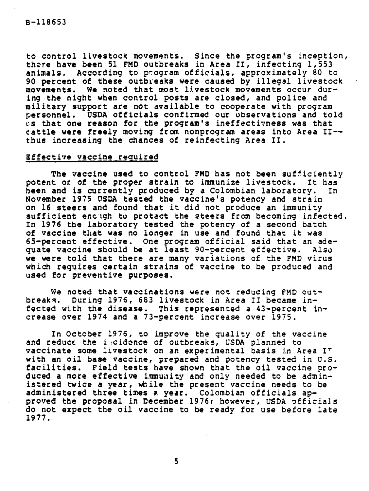to control livestock movements. Since the program's inception, there have been 51 FMD outbreaks in Area II, infecting 1,553 animals. According to program officials, approximately 80 to 90 percent of these outbreaks were caused by illegal livestock movements. We noted that most livestock movements occur during the night when control posts are closed, and police and military support are not available to cooperate with program personnel. USDA officials confirmed our observations and told us that one reason for the program's ineffectivness was that cattle were freely moving from nonprogram areas into Area II- thus increasing the chances of reinfecting Area II.

### Effective vaccine required

The vaccine used to control FMD has not been sufficiently potent or of the proper strain to immunize livestock. It has been and is currently produced by a Colombian laboratory. In November 1975 USDA tested the vaccine's potency and strain on 16 steers and found that it did not produce an immunity sufficient enclgh to protact the steers from becoming infected. In 1976 the laboratory tested the potency of a second batch of vaccine that was no longer in use and found that it was 65-percent effective. One program official said that an adequate vaccine should be at least 90-percent effective. Also we were told that there are many variations of the FMD virus which requires certain strains of vaccine to be produced and used for preventive purposes.

We noted that vaccinations were not reducing FMD outbreaks. During 1976, 683 livestock in Area II became infected with the disease. This represented a 43-percent increase over 1974 and a 73-percent increase over 1975.

In October 1976, to improve the quality of the vaccine and reduce the i cidence of outbreaks, USDA planned to vaccinate some livestock on an experimental basis in Area IT with an oil base vaccine, prepared and potency tested in U.S. facilities. Field tests have shown that the oil vaccine produced a more effective immunity and only needed to be administered twice a year, while the present vaccine needs to be administered three times a year. Colombian officials approved the proposal in December 1976; however, USDA officials do not expect the oil vaccine to be ready for use before late 1977.

5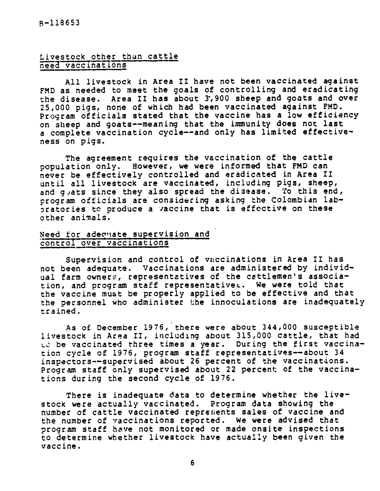# Livestock other than cattle need vaccinations

All livestock in Area II have not been vaccinated against FMD as needed to meet the goals of controlling and eradicating the disease. Area II has about 3,900 sheep and goats and over 25,000 pigs, none of which had been vaccinated against FMD. Program officials stated that the vaccine has a low efficiency on sheep and goats--meaning that the immunity does not last a complete vaccination cycle--and only has limited effectiveness on pigs.

The agreement requires the vaccination of the cattle population only. However, we were informed that FMD can never be effectively controlled and eradicated in Area II until all livestock are vaccinated, including pigs, sheep, and guats since they also spread the disease. To this end, program officials are considering asking the Colombian laboratories to produce a vaccine that is effective on these other animals.

# Need for adecuate supervision and control over vaccinations

Supervision and control of vaccinations in Area II has not been adequate. Vaccinations are administered by individual farm owners, representatives of the cattlemen's association, and program staff representative. We were told that the vaccine must be properly applied to be effective and that the personnel who administer the innoculations are inadequately trained.

As of December 1976, there were about 344,000 susceptible livestock in Area II, including about 315,000 cattle, that had to be vaccinated three times a year. During the first vaccination cycle of 1976, program staff representatives--about 34 inspectors--supervised about 26 percent of the vaccinations. Program staff only supervised about 22 percent of the vaccinations during the second cycle of 1976.

There is inadequate data to determine whether the livestock were actually vaccinated. Program data showing the number of cattle vaccinated represents sales of vaccine and the number of vaccinations reported. we were advised that program staff have not monitored or made onsite inspections to determine whether livestock have actually been given the vaccine.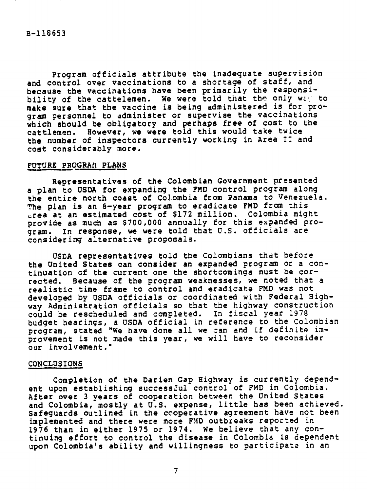Program officials attribute the inadequate supervision and control over vaccinations to a shortage of staff, and because the vaccinations have been primarily the responsibility of the cattelemen. We were told that the only way to make sure that the vaccine is being administered is for program personnel to dminister or supervise the vaccinations which should be obligatory and perhaps free of cost to the cattlemen. However, we were told this would take twice the number of inspectors currently working in Area II and cost considerably more.

### FUTURE PROGRAM PLANS

Representatives of the Colombian Government presented a plan to USDA for expanding the FMD control program along the entire north coast of Colombia from Panama to Venezuela. The plan is an 8-year program to eradicate FMD from this .rea at an estimated cost of \$172 million. Colombia might provide as much as \$700,000 annually for this expanded program. In response, we were told that U.S. officials are considering alternative proposals.

USDA representatives told the Colombians that before the United States can consider an expanded program or a continuation of the current one the shortcomings must be corrected. Because of the program weaknesses, we noted that a realistic time frame to control and eradicate FMD was not developed by USDA officials or coordinated with Federal Highway Administration officials so that the highway construction could be rescheduled and completed. In fiscal year 1978 budget hearings, a USDA official in reference to the Colombian program, stated "We have done all we can and if definite improvement is not made this year, we will have to reconsider our involvement."

#### CONCLUSIONS

Completion of the Darien Gap Highway is currently dependent upon establishing successful control of FMD in Colombia. After over 3 years of cooperation between the United States and Colombia, mostly at U.S. expense, little has been achieved. Safeguards outlined in the cooperative agreement have not been implemented and there were more FMD outbreaks reported in 1976 than in either 1975 or 1974. We believe that any continuing effort to control the disease in Colombia is dependent upon Colombia's ability and willingness to participate in an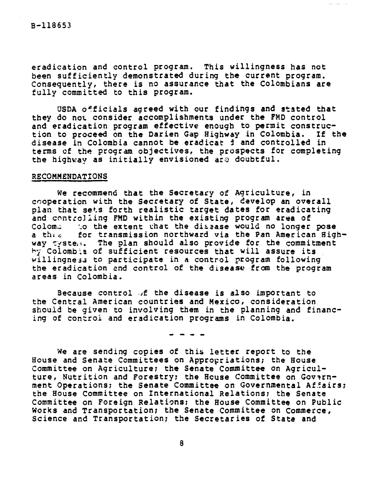eradication and control program. This willingness has not been sufficiently demonstrated during the current program. Consequently, there is no assurance that the Colombians are fully committed to this program.

USDA oficials agreed with our findings and stated that they do not consider accomplishments under the FMD control and eradication program effective enough to permit construc-<br>tion to proceed on the Darien Gap Highway in Colombia. If the tion to proceed on the Darien Gap Highway in Colombia. disease in Colombia cannot be eradicat d and controlled in terms of the program objectives, the prospects for completing the highway as initially envisioned are doubtful.

### RECOMMENDATIONS

We recommend that the Secretary of Agriculture, in cooperation with the Secretary of State, develop an overall plan that sets forth realistic target dates for eradicating and controlling FMD within the existing program area of Colom. the extent that the dissase would no longer pose a thre for transmission northward via the Pan American Highway  $\tau$ yste $\pi$ . The plan should also provide for the commitment hy Colombia of sufficient resources that will assure its willingness to participate in a control program following the eradication and control of the disease from the program areas in Colombia.

Because control  $\sqrt{f}$  the disease is also important to the Central American countries and Mexico, consideration should be given to involving them in the planning and financing of control and eradication programs in Colombia.

We are sending copies of this letter report to the House and Senate Committees on Appropriations; the House Committee on Agriculture; the Senate Committee on Agriculture, Nutrition and Forestry; the House Committee on Government Operations; the Senate Committee on Governmental Affairs; the House Committee on International Relations; the Senate Committee on Foreign Relations; the House Committee on Public Works and Transportation; the Senate Committee on Commerce, Science and Transportation; the Secretaries of State and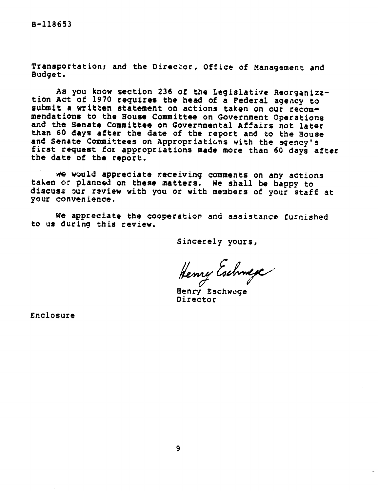Transportation; and the Director, Office of Management and Budget.

As you know section 236 of the Legislative Reorganization Act of 1970 requires the head of a Federal agency to submit a written statement on actions taken on our recommendations to the House Committee on Government Operations and the Senate Committee on Governmental Affairs not later than 60 days after the date of the report and to the House<br>and Senate Committees on Appropriations with the agency's first request for appropriations made more than 60 days after the date of the report,

 $Ae$  would appreciate receiving comments on any actions taken or planned on these matters. We shall be happy to discuss our review with you or with members of your staff at your convenience.

We appreciate the cooperation and assistance furnished to us during this review.

Sincerely yours,

Henry Eschwege

Henry Eschwege Director

Enclosure